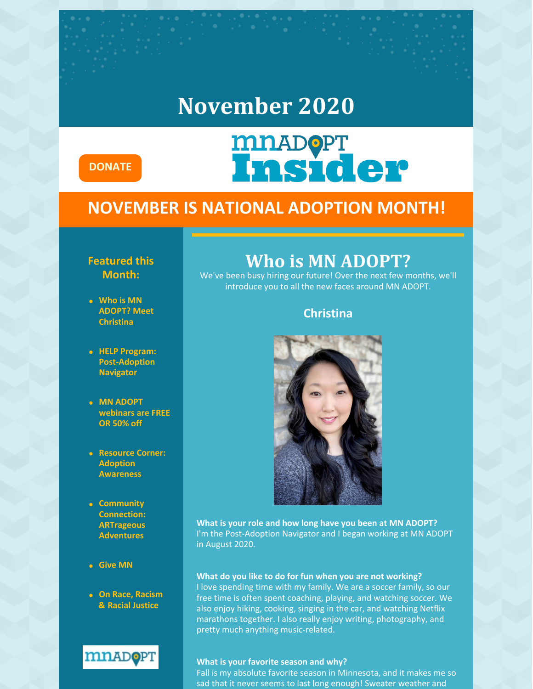### **November 2020**



# **MNADOPT**<br>Insider

#### **NOVEMBER IS NATIONAL ADOPTION MONTH!**

#### **Featured this Month:**

- **Who is MN ADOPT? Meet Christina**
- **HELP Program: Post-Adoption Navigator**
- **MN ADOPT webinars are FREE OR 50% off**
- **Resource Corner: Adoption Awareness**
- **Community Connection: ARTrageous Adventures**
- **Give MN**
- **On Race, Racism & Racial Justice**



### **Who is MN ADOPT?**

We've been busy hiring our future! Over the next few months, we'll introduce you to all the new faces around MN ADOPT.

#### **Christina**



**What is your role and how long have you been at MN ADOPT?** I'm the Post-Adoption Navigator and I began working at MN ADOPT in August 2020.

#### **What do you like to do for fun when you are not working?**

I love spending time with my family. We are a soccer family, so our free time is often spent coaching, playing, and watching soccer. We also enjoy hiking, cooking, singing in the car, and watching Netflix marathons together. I also really enjoy writing, photography, and pretty much anything music-related.

#### **What is your favorite season and why?**

Fall is my absolute favorite season in Minnesota, and it makes me so sad that it never seems to last long enough! Sweater weather and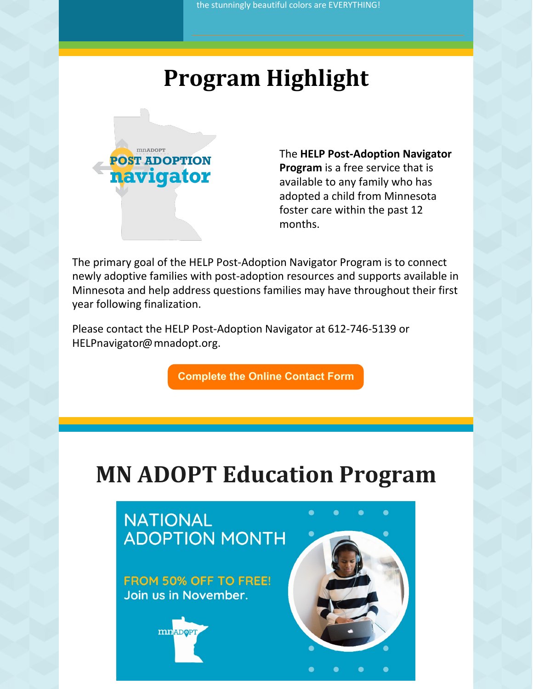# **Program Highlight**



The **HELP Post-Adoption Navigator Program** is a free service that is available to any family who has adopted a child from Minnesota foster care within the past 12 months.

The primary goal of the HELP Post-Adoption Navigator Program is to connect newly adoptive families with post-adoption resources and supports available in Minnesota and help address questions families may have throughout their first year following finalization.

Please contact the HELP Post-Adoption Navigator at 612-746-5139 or HELPnavigator@mnadopt.org.

**[Complete](https://www.mnadopt.org/pan-contact-form/) the Online Contact Form**

# **MN ADOPT Education Program**

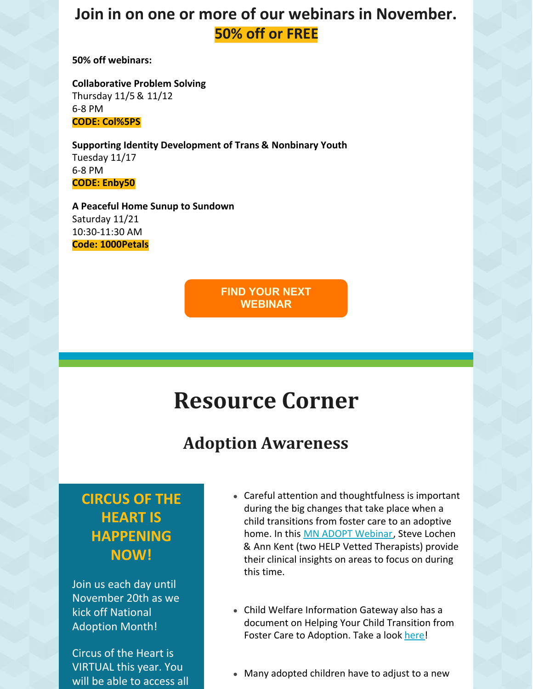### **Join in on one or more of our webinars in November. 50% off or FREE**

**50% off webinars:**

**Collaborative Problem Solving** Thursday 11/5 & 11/12 6-8 PM **CODE: Col%5PS**

**Supporting Identity Development of Trans & Nonbinary Youth** Tuesday 11/17 6-8 PM **CODE: Enby50**

**A Peaceful Home Sunup to Sundown** Saturday 11/21 10:30-11:30 AM **Code: 1000Petals**

> **FIND YOUR NEXT [WEBINAR](https://education.mnadopt.org/v2/?c=events)**

# **Resource Corner**

### **Adoption Awareness**

#### **CIRCUS OF THE HEART IS HAPPENING NOW!**

Join us each day until November 20th as we kick off National Adoption Month!

Circus of the Heart is VIRTUAL this year. You will be able to access all

- Careful attention and thoughtfulness is important during the big changes that take place when a child transitions from foster care to an adoptive home. In this MN ADOPT [Webinar](https://www.mnadopt.org/product/20200624-webinar-transitioning-kids-from-foster-to-adoptive-homes/), Steve Lochen & Ann Kent (two HELP Vetted Therapists) provide their clinical insights on areas to focus on during this time.
- Child Welfare Information Gateway also has a document on Helping Your Child Transition from Foster Care to Adoption. Take a look [here!](https://www.childwelfare.gov/pubpdfs/f_transition.pdf)
- Many adopted children have to adjust to a new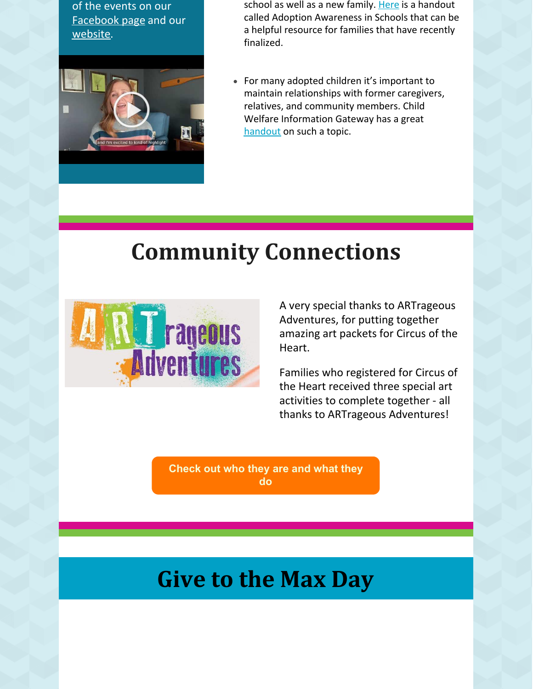of the events on our [Facebook](https://www.facebook.com/mnADOPT) page and our [website](https://www.mnadopt.org/about/events-news/coth2020/).



school as well as a new family. [Here](https://njarch.org/wpress/wp-content/uploads/2015/11/Adoption_Awareness_Schools.pdf) is a handout called Adoption Awareness in Schools that can be a helpful resource for families that have recently finalized.

For many adopted children it's important to maintain relationships with former caregivers, relatives, and community members. Child Welfare Information Gateway has a great [handout](https://www.childwelfare.gov/pubPDFs/factsheets_families_maintainrelationships.pdf) on such a topic.

# **Community Connections**



A very special thanks to ARTrageous Adventures, for putting together amazing art packets for Circus of the Heart.

Families who registered for Circus of the Heart received three special art activities to complete together - all thanks to ARTrageous Adventures!

**[Check](https://www.artrageousadventures.com/) out who they are and what they do**

### **Give to the Max Day**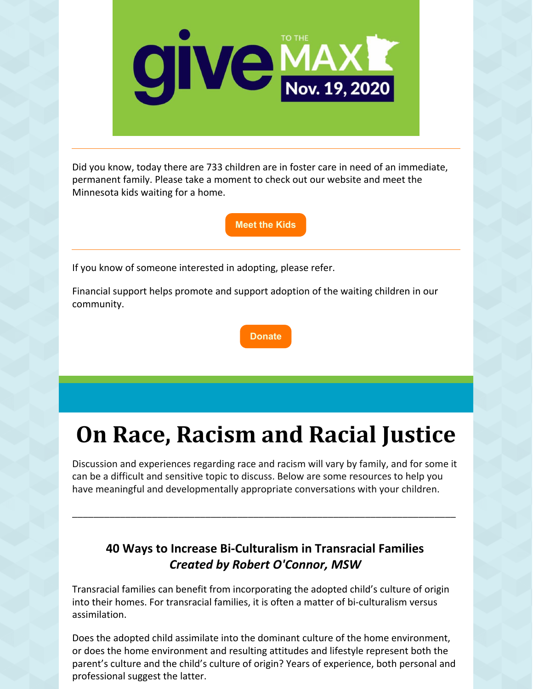

Did you know, today there are 733 children are in foster care in need of an immediate, permanent family. Please take a moment to check out our website and meet the Minnesota kids waiting for a home.

**[Meet](https://www.mnadopt.org/waiting-kids/) the Kids**

If you know of someone interested in adopting, please refer.

Financial support helps promote and support adoption of the waiting children in our community.



# **On Race, Racism and Racial Justice**

Discussion and experiences regarding race and racism will vary by family, and for some it can be a difficult and sensitive topic to discuss. Below are some resources to help you have meaningful and developmentally appropriate conversations with your children.

\_\_\_\_\_\_\_\_\_\_\_\_\_\_\_\_\_\_\_\_\_\_\_\_\_\_\_\_\_\_\_\_\_\_\_\_\_\_\_\_\_\_\_\_\_\_\_\_\_\_\_\_\_\_\_\_\_\_\_\_\_\_\_\_\_\_\_\_\_\_\_\_

#### **40 Ways to Increase Bi-Culturalism in Transracial Families** *Created by Robert O'Connor, MSW*

Transracial families can benefit from incorporating the adopted child's culture of origin into their homes. For transracial families, it is often a matter of bi-culturalism versus assimilation.

Does the adopted child assimilate into the dominant culture of the home environment, or does the home environment and resulting attitudes and lifestyle represent both the parent's culture and the child's culture of origin? Years of experience, both personal and professional suggest the latter.